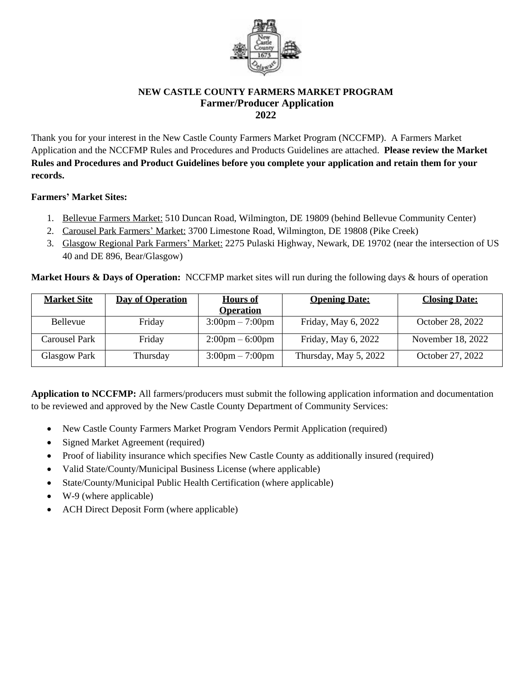

## **NEW CASTLE COUNTY FARMERS MARKET PROGRAM Farmer/Producer Application 2022**

Thank you for your interest in the New Castle County Farmers Market Program (NCCFMP). A Farmers Market Application and the NCCFMP Rules and Procedures and Products Guidelines are attached. **Please review the Market Rules and Procedures and Product Guidelines before you complete your application and retain them for your records.**

# **Farmers' Market Sites:**

- 1. Bellevue Farmers Market: 510 Duncan Road, Wilmington, DE 19809 (behind Bellevue Community Center)
- 2. Carousel Park Farmers' Market: 3700 Limestone Road, Wilmington, DE 19808 (Pike Creek)
- 3. Glasgow Regional Park Farmers' Market: 2275 Pulaski Highway, Newark, DE 19702 (near the intersection of US 40 and DE 896, Bear/Glasgow)

**Market Hours & Days of Operation:** NCCFMP market sites will run during the following days & hours of operation

| <b>Market Site</b> | <b>Day of Operation</b> | <b>Hours of</b>                   | <b>Opening Date:</b>  | <b>Closing Date:</b> |
|--------------------|-------------------------|-----------------------------------|-----------------------|----------------------|
|                    |                         | <b>Operation</b>                  |                       |                      |
| <b>Bellevue</b>    | Friday                  | $3:00 \text{pm} - 7:00 \text{pm}$ | Friday, May 6, 2022   | October 28, 2022     |
| Carousel Park      | Friday                  | $2:00 \text{pm} - 6:00 \text{pm}$ | Friday, May 6, 2022   | November 18, 2022    |
| Glasgow Park       | Thursday                | $3:00 \text{pm} - 7:00 \text{pm}$ | Thursday, May 5, 2022 | October 27, 2022     |

**Application to NCCFMP:** All farmers/producers must submit the following application information and documentation to be reviewed and approved by the New Castle County Department of Community Services:

- New Castle County Farmers Market Program Vendors Permit Application (required)
- Signed Market Agreement (required)
- Proof of liability insurance which specifies New Castle County as additionally insured (required)
- Valid State/County/Municipal Business License (where applicable)
- State/County/Municipal Public Health Certification (where applicable)
- W-9 (where applicable)
- ACH Direct Deposit Form (where applicable)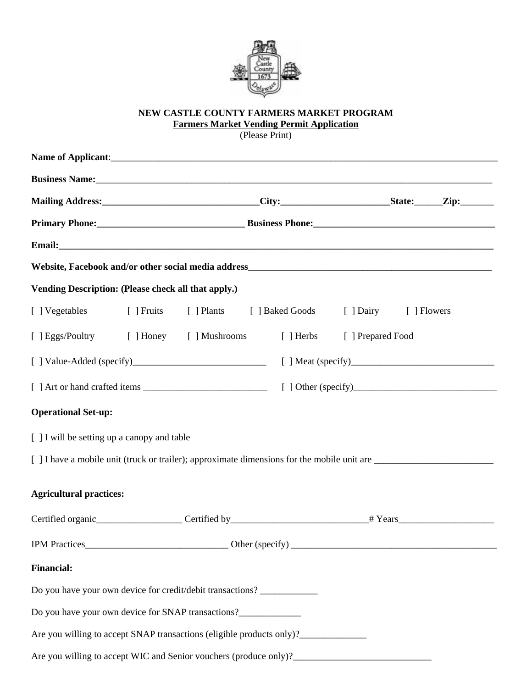

# **NEW CASTLE COUNTY FARMERS MARKET PROGRAM Farmers Market Vending Permit Application**

(Please Print)

|                                                     |  |                                                                                  |  | Mailing Address: ________________________________City:__________________________State:_______Zip:_________ |  |  |  |
|-----------------------------------------------------|--|----------------------------------------------------------------------------------|--|------------------------------------------------------------------------------------------------------------|--|--|--|
|                                                     |  |                                                                                  |  |                                                                                                            |  |  |  |
|                                                     |  |                                                                                  |  |                                                                                                            |  |  |  |
|                                                     |  |                                                                                  |  |                                                                                                            |  |  |  |
| Vending Description: (Please check all that apply.) |  |                                                                                  |  |                                                                                                            |  |  |  |
| [ ] Vegetables                                      |  |                                                                                  |  | [ ] Fruits [ ] Plants [ ] Baked Goods [ ] Dairy [ ] Flowers                                                |  |  |  |
|                                                     |  | [ ] Eggs/Poultry [ ] Honey [ ] Mushrooms [ ] Herbs [ ] Prepared Food             |  |                                                                                                            |  |  |  |
|                                                     |  |                                                                                  |  |                                                                                                            |  |  |  |
|                                                     |  |                                                                                  |  |                                                                                                            |  |  |  |
| <b>Operational Set-up:</b>                          |  |                                                                                  |  |                                                                                                            |  |  |  |
| [ ] I will be setting up a canopy and table         |  |                                                                                  |  |                                                                                                            |  |  |  |
|                                                     |  |                                                                                  |  | [] I have a mobile unit (truck or trailer); approximate dimensions for the mobile unit are                 |  |  |  |
| <b>Agricultural practices:</b>                      |  |                                                                                  |  |                                                                                                            |  |  |  |
|                                                     |  |                                                                                  |  |                                                                                                            |  |  |  |
|                                                     |  |                                                                                  |  |                                                                                                            |  |  |  |
| <b>Financial:</b>                                   |  |                                                                                  |  |                                                                                                            |  |  |  |
|                                                     |  | Do you have your own device for credit/debit transactions? _____________________ |  |                                                                                                            |  |  |  |
|                                                     |  | Do you have your own device for SNAP transactions?______________________________ |  |                                                                                                            |  |  |  |
|                                                     |  | Are you willing to accept SNAP transactions (eligible products only)?            |  |                                                                                                            |  |  |  |
|                                                     |  |                                                                                  |  |                                                                                                            |  |  |  |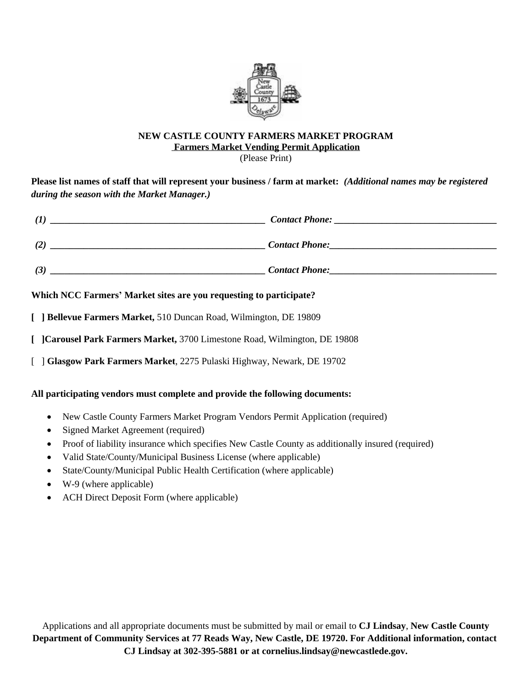

## **NEW CASTLE COUNTY FARMERS MARKET PROGRAM Farmers Market Vending Permit Application**

(Please Print)

# **Please list names of staff that will represent your business / farm at market:** *(Additional names may be registered during the season with the Market Manager.)*

| $\mathcal{I}$ | <b>Contact Phone:</b> |
|---------------|-----------------------|
| (2)           | <b>Contact Phone:</b> |
| (3)           | <b>Contact Phone:</b> |

# **Which NCC Farmers' Market sites are you requesting to participate?**

**[ ] Bellevue Farmers Market,** 510 Duncan Road, Wilmington, DE 19809

- **[ ]Carousel Park Farmers Market,** 3700 Limestone Road, Wilmington, DE 19808
- [ ] **Glasgow Park Farmers Market**, 2275 Pulaski Highway, Newark, DE 19702

# **All participating vendors must complete and provide the following documents:**

- New Castle County Farmers Market Program Vendors Permit Application (required)
- Signed Market Agreement (required)
- Proof of liability insurance which specifies New Castle County as additionally insured (required)
- Valid State/County/Municipal Business License (where applicable)
- State/County/Municipal Public Health Certification (where applicable)
- $\bullet$  W-9 (where applicable)
- ACH Direct Deposit Form (where applicable)

Applications and all appropriate documents must be submitted by mail or email to **CJ Lindsay**, **New Castle County Department of Community Services at 77 Reads Way, New Castle, DE 19720. For Additional information, contact CJ Lindsay at 302-395-5881 or at cornelius.lindsay@newcastlede.gov.**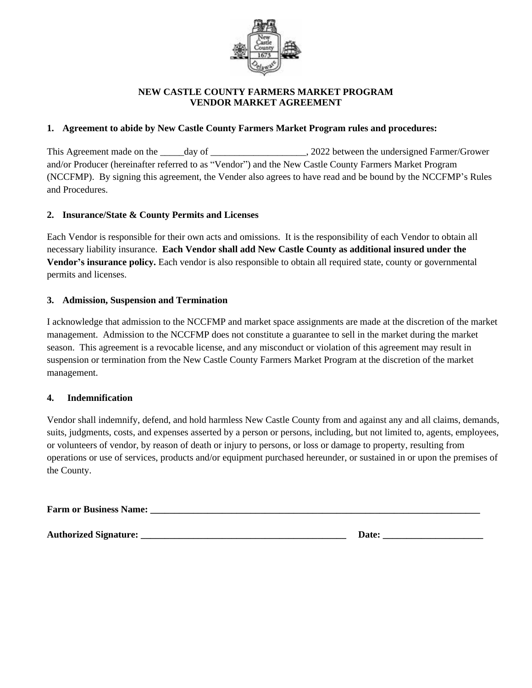

## **NEW CASTLE COUNTY FARMERS MARKET PROGRAM VENDOR MARKET AGREEMENT**

## **1. Agreement to abide by New Castle County Farmers Market Program rules and procedures:**

This Agreement made on the \_\_\_\_\_day of \_\_\_\_\_\_\_\_\_\_\_\_\_\_\_\_\_\_\_, 2022 between the undersigned Farmer/Grower and/or Producer (hereinafter referred to as "Vendor") and the New Castle County Farmers Market Program (NCCFMP). By signing this agreement, the Vender also agrees to have read and be bound by the NCCFMP's Rules and Procedures.

## **2. Insurance/State & County Permits and Licenses**

Each Vendor is responsible for their own acts and omissions. It is the responsibility of each Vendor to obtain all necessary liability insurance. **Each Vendor shall add New Castle County as additional insured under the Vendor's insurance policy.** Each vendor is also responsible to obtain all required state, county or governmental permits and licenses.

## **3. Admission, Suspension and Termination**

I acknowledge that admission to the NCCFMP and market space assignments are made at the discretion of the market management. Admission to the NCCFMP does not constitute a guarantee to sell in the market during the market season. This agreement is a revocable license, and any misconduct or violation of this agreement may result in suspension or termination from the New Castle County Farmers Market Program at the discretion of the market management.

## **4. Indemnification**

Vendor shall indemnify, defend, and hold harmless New Castle County from and against any and all claims, demands, suits, judgments, costs, and expenses asserted by a person or persons, including, but not limited to, agents, employees, or volunteers of vendor, by reason of death or injury to persons, or loss or damage to property, resulting from operations or use of services, products and/or equipment purchased hereunder, or sustained in or upon the premises of the County.

**Farm or Business Name: \_\_\_\_\_\_\_\_\_\_\_\_\_\_\_\_\_\_\_\_\_\_\_\_\_\_\_\_\_\_\_\_\_\_\_\_\_\_\_\_\_\_\_\_\_\_\_\_\_\_\_\_\_\_\_\_\_\_\_\_\_\_\_\_\_\_\_\_\_**

**Authorized Signature: \_\_\_\_\_\_\_\_\_\_\_\_\_\_\_\_\_\_\_\_\_\_\_\_\_\_\_\_\_\_\_\_\_\_\_\_\_\_\_\_\_\_\_ Date: \_\_\_\_\_\_\_\_\_\_\_\_\_\_\_\_\_\_\_\_\_**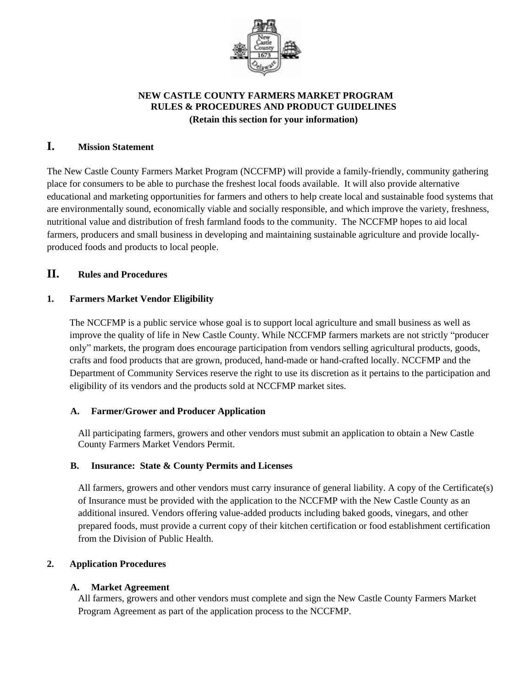

# **NEW CASTLE COUNTY FARMERS MARKET PROGRAM RULES & PROCEDURES AND PRODUCT GUIDELINES (Retain this section for your information)**

# **I. Mission Statement**

The New Castle County Farmers Market Program (NCCFMP) will provide a family-friendly, community gathering place for consumers to be able to purchase the freshest local foods available. It will also provide alternative educational and marketing opportunities for farmers and others to help create local and sustainable food systems that are environmentally sound, economically viable and socially responsible, and which improve the variety, freshness, nutritional value and distribution of fresh farmland foods to the community. The NCCFMP hopes to aid local farmers, producers and small business in developing and maintaining sustainable agriculture and provide locallyproduced foods and products to local people.

# **II. Rules and Procedures**

## **1. Farmers Market Vendor Eligibility**

The NCCFMP is a public service whose goal is to support local agriculture and small business as well as improve the quality of life in New Castle County. While NCCFMP farmers markets are not strictly "producer only" markets, the program does encourage participation from vendors selling agricultural products, goods, crafts and food products that are grown, produced, hand-made or hand-crafted locally. NCCFMP and the Department of Community Services reserve the right to use its discretion as it pertains to the participation and eligibility of its vendors and the products sold at NCCFMP market sites.

## **A. Farmer/Grower and Producer Application**

All participating farmers, growers and other vendors must submit an application to obtain a New Castle County Farmers Market Vendors Permit.

## **B. Insurance: State & County Permits and Licenses**

All farmers, growers and other vendors must carry insurance of general liability. A copy of the Certificate(s) of Insurance must be provided with the application to the NCCFMP with the New Castle County as an additional insured. Vendors offering value-added products including baked goods, vinegars, and other prepared foods, must provide a current copy of their kitchen certification or food establishment certification from the Division of Public Health.

## **2. Application Procedures**

## **A. Market Agreement**

All farmers, growers and other vendors must complete and sign the New Castle County Farmers Market Program Agreement as part of the application process to the NCCFMP.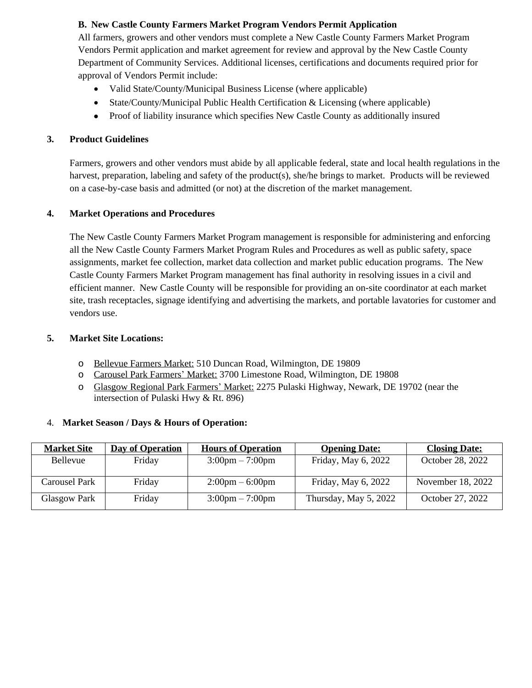## **B. New Castle County Farmers Market Program Vendors Permit Application**

All farmers, growers and other vendors must complete a New Castle County Farmers Market Program Vendors Permit application and market agreement for review and approval by the New Castle County Department of Community Services. Additional licenses, certifications and documents required prior for approval of Vendors Permit include:

- Valid State/County/Municipal Business License (where applicable)
- State/County/Municipal Public Health Certification & Licensing (where applicable)
- Proof of liability insurance which specifies New Castle County as additionally insured

## **3. Product Guidelines**

Farmers, growers and other vendors must abide by all applicable federal, state and local health regulations in the harvest, preparation, labeling and safety of the product(s), she/he brings to market. Products will be reviewed on a case-by-case basis and admitted (or not) at the discretion of the market management.

## **4. Market Operations and Procedures**

The New Castle County Farmers Market Program management is responsible for administering and enforcing all the New Castle County Farmers Market Program Rules and Procedures as well as public safety, space assignments, market fee collection, market data collection and market public education programs. The New Castle County Farmers Market Program management has final authority in resolving issues in a civil and efficient manner. New Castle County will be responsible for providing an on-site coordinator at each market site, trash receptacles, signage identifying and advertising the markets, and portable lavatories for customer and vendors use.

## **5. Market Site Locations:**

- o Bellevue Farmers Market: 510 Duncan Road, Wilmington, DE 19809
- o Carousel Park Farmers' Market: 3700 Limestone Road, Wilmington, DE 19808
- o Glasgow Regional Park Farmers' Market: 2275 Pulaski Highway, Newark, DE 19702 (near the intersection of Pulaski Hwy & Rt. 896)

## 4. **Market Season / Days & Hours of Operation:**

| <b>Market Site</b>   | <b>Day of Operation</b> | <b>Hours of Operation</b>         | <b>Opening Date:</b>  | <b>Closing Date:</b> |
|----------------------|-------------------------|-----------------------------------|-----------------------|----------------------|
| <b>Bellevue</b>      | Friday                  | $3:00 \text{pm} - 7:00 \text{pm}$ | Friday, May 6, 2022   | October 28, 2022     |
|                      |                         |                                   |                       |                      |
| <b>Carousel Park</b> | Friday                  | $2:00 \text{pm} - 6:00 \text{pm}$ | Friday, May 6, 2022   | November 18, 2022    |
| Glasgow Park         | Friday                  | $3:00 \text{pm} - 7:00 \text{pm}$ | Thursday, May 5, 2022 | October 27, 2022     |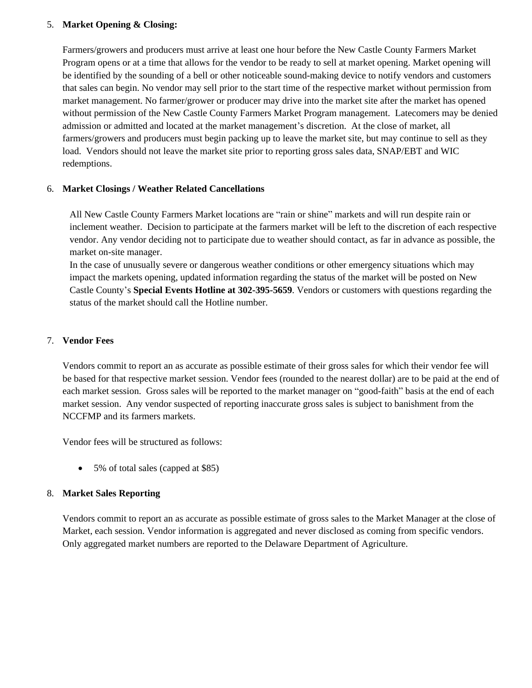## 5. **Market Opening & Closing:**

Farmers/growers and producers must arrive at least one hour before the New Castle County Farmers Market Program opens or at a time that allows for the vendor to be ready to sell at market opening. Market opening will be identified by the sounding of a bell or other noticeable sound-making device to notify vendors and customers that sales can begin. No vendor may sell prior to the start time of the respective market without permission from market management. No farmer/grower or producer may drive into the market site after the market has opened without permission of the New Castle County Farmers Market Program management. Latecomers may be denied admission or admitted and located at the market management's discretion. At the close of market, all farmers/growers and producers must begin packing up to leave the market site, but may continue to sell as they load. Vendors should not leave the market site prior to reporting gross sales data, SNAP/EBT and WIC redemptions.

## 6. **Market Closings / Weather Related Cancellations**

All New Castle County Farmers Market locations are "rain or shine" markets and will run despite rain or inclement weather. Decision to participate at the farmers market will be left to the discretion of each respective vendor. Any vendor deciding not to participate due to weather should contact, as far in advance as possible, the market on-site manager.

In the case of unusually severe or dangerous weather conditions or other emergency situations which may impact the markets opening, updated information regarding the status of the market will be posted on New Castle County's **Special Events Hotline at 302-395-5659**. Vendors or customers with questions regarding the status of the market should call the Hotline number.

## 7. **Vendor Fees**

Vendors commit to report an as accurate as possible estimate of their gross sales for which their vendor fee will be based for that respective market session. Vendor fees (rounded to the nearest dollar) are to be paid at the end of each market session. Gross sales will be reported to the market manager on "good-faith" basis at the end of each market session. Any vendor suspected of reporting inaccurate gross sales is subject to banishment from the NCCFMP and its farmers markets.

Vendor fees will be structured as follows:

• 5% of total sales (capped at \$85)

## 8. **Market Sales Reporting**

Vendors commit to report an as accurate as possible estimate of gross sales to the Market Manager at the close of Market, each session. Vendor information is aggregated and never disclosed as coming from specific vendors. Only aggregated market numbers are reported to the Delaware Department of Agriculture.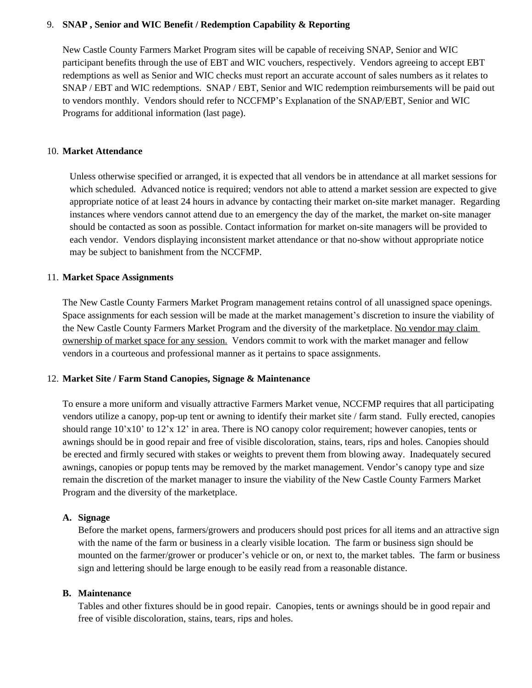## 9. **SNAP , Senior and WIC Benefit / Redemption Capability & Reporting**

New Castle County Farmers Market Program sites will be capable of receiving SNAP, Senior and WIC participant benefits through the use of EBT and WIC vouchers, respectively. Vendors agreeing to accept EBT redemptions as well as Senior and WIC checks must report an accurate account of sales numbers as it relates to SNAP / EBT and WIC redemptions. SNAP / EBT, Senior and WIC redemption reimbursements will be paid out to vendors monthly. Vendors should refer to NCCFMP's Explanation of the SNAP/EBT, Senior and WIC Programs for additional information (last page).

## 10. **Market Attendance**

Unless otherwise specified or arranged, it is expected that all vendors be in attendance at all market sessions for which scheduled. Advanced notice is required; vendors not able to attend a market session are expected to give appropriate notice of at least 24 hours in advance by contacting their market on-site market manager. Regarding instances where vendors cannot attend due to an emergency the day of the market, the market on-site manager should be contacted as soon as possible. Contact information for market on-site managers will be provided to each vendor. Vendors displaying inconsistent market attendance or that no-show without appropriate notice may be subject to banishment from the NCCFMP.

## 11. **Market Space Assignments**

The New Castle County Farmers Market Program management retains control of all unassigned space openings. Space assignments for each session will be made at the market management's discretion to insure the viability of the New Castle County Farmers Market Program and the diversity of the marketplace. No vendor may claim ownership of market space for any session. Vendors commit to work with the market manager and fellow vendors in a courteous and professional manner as it pertains to space assignments.

## 12. **Market Site / Farm Stand Canopies, Signage & Maintenance**

To ensure a more uniform and visually attractive Farmers Market venue, NCCFMP requires that all participating vendors utilize a canopy, pop-up tent or awning to identify their market site / farm stand. Fully erected, canopies should range 10'x10' to 12'x 12' in area. There is NO canopy color requirement; however canopies, tents or awnings should be in good repair and free of visible discoloration, stains, tears, rips and holes. Canopies should be erected and firmly secured with stakes or weights to prevent them from blowing away. Inadequately secured awnings, canopies or popup tents may be removed by the market management. Vendor's canopy type and size remain the discretion of the market manager to insure the viability of the New Castle County Farmers Market Program and the diversity of the marketplace.

## **A. Signage**

Before the market opens, farmers/growers and producers should post prices for all items and an attractive sign with the name of the farm or business in a clearly visible location. The farm or business sign should be mounted on the farmer/grower or producer's vehicle or on, or next to, the market tables. The farm or business sign and lettering should be large enough to be easily read from a reasonable distance.

## **B. Maintenance**

Tables and other fixtures should be in good repair. Canopies, tents or awnings should be in good repair and free of visible discoloration, stains, tears, rips and holes.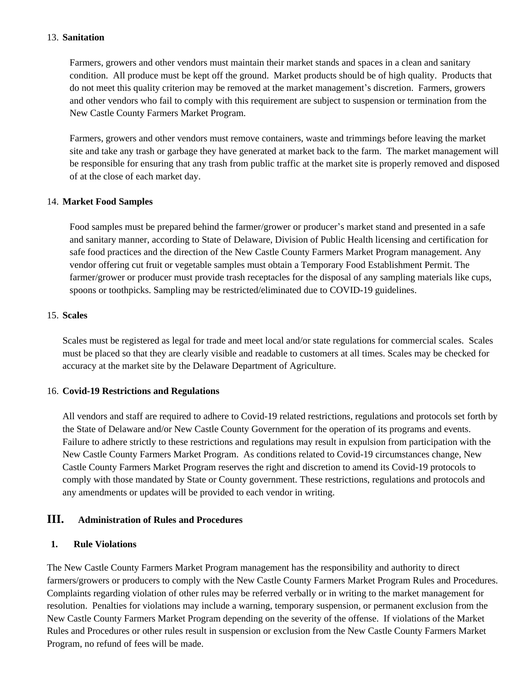### 13. **Sanitation**

Farmers, growers and other vendors must maintain their market stands and spaces in a clean and sanitary condition. All produce must be kept off the ground. Market products should be of high quality. Products that do not meet this quality criterion may be removed at the market management's discretion. Farmers, growers and other vendors who fail to comply with this requirement are subject to suspension or termination from the New Castle County Farmers Market Program.

Farmers, growers and other vendors must remove containers, waste and trimmings before leaving the market site and take any trash or garbage they have generated at market back to the farm. The market management will be responsible for ensuring that any trash from public traffic at the market site is properly removed and disposed of at the close of each market day.

#### 14. **Market Food Samples**

Food samples must be prepared behind the farmer/grower or producer's market stand and presented in a safe and sanitary manner, according to State of Delaware, Division of Public Health licensing and certification for safe food practices and the direction of the New Castle County Farmers Market Program management. Any vendor offering cut fruit or vegetable samples must obtain a Temporary Food Establishment Permit. The farmer/grower or producer must provide trash receptacles for the disposal of any sampling materials like cups, spoons or toothpicks. Sampling may be restricted/eliminated due to COVID-19 guidelines.

#### 15. **Scales**

Scales must be registered as legal for trade and meet local and/or state regulations for commercial scales. Scales must be placed so that they are clearly visible and readable to customers at all times. Scales may be checked for accuracy at the market site by the Delaware Department of Agriculture.

#### 16. **Covid-19 Restrictions and Regulations**

All vendors and staff are required to adhere to Covid-19 related restrictions, regulations and protocols set forth by the State of Delaware and/or New Castle County Government for the operation of its programs and events. Failure to adhere strictly to these restrictions and regulations may result in expulsion from participation with the New Castle County Farmers Market Program. As conditions related to Covid-19 circumstances change, New Castle County Farmers Market Program reserves the right and discretion to amend its Covid-19 protocols to comply with those mandated by State or County government. These restrictions, regulations and protocols and any amendments or updates will be provided to each vendor in writing.

## **III. Administration of Rules and Procedures**

## **1. Rule Violations**

The New Castle County Farmers Market Program management has the responsibility and authority to direct farmers/growers or producers to comply with the New Castle County Farmers Market Program Rules and Procedures. Complaints regarding violation of other rules may be referred verbally or in writing to the market management for resolution. Penalties for violations may include a warning, temporary suspension, or permanent exclusion from the New Castle County Farmers Market Program depending on the severity of the offense. If violations of the Market Rules and Procedures or other rules result in suspension or exclusion from the New Castle County Farmers Market Program, no refund of fees will be made.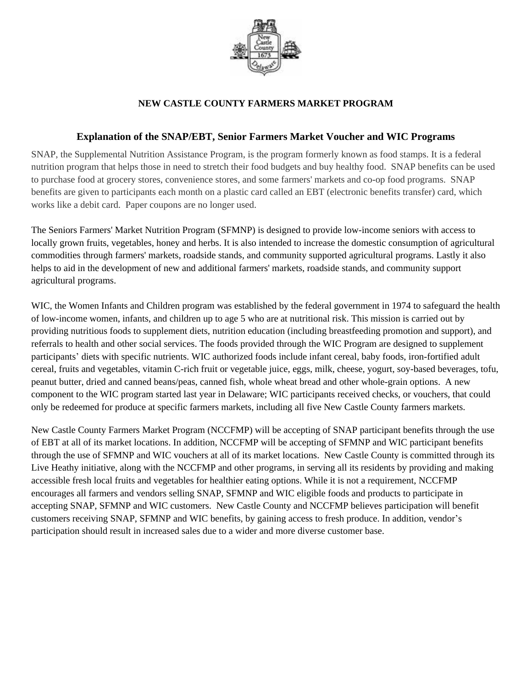

# **NEW CASTLE COUNTY FARMERS MARKET PROGRAM**

# **Explanation of the SNAP/EBT, Senior Farmers Market Voucher and WIC Programs**

SNAP, the Supplemental Nutrition Assistance Program, is the program formerly known as food stamps. It is a federal nutrition program that helps those in need to stretch their food budgets and buy healthy food. SNAP benefits can be used to purchase food at grocery stores, convenience stores, and some farmers' markets and co-op food programs. SNAP benefits are given to participants each month on a plastic card called an EBT (electronic benefits transfer) card, which works like a debit card. Paper coupons are no longer used.

The Seniors Farmers' Market Nutrition Program (SFMNP) is designed to provide low-income seniors with access to locally grown fruits, vegetables, honey and herbs. It is also intended to increase the domestic consumption of agricultural commodities through farmers' markets, roadside stands, and community supported agricultural programs. Lastly it also helps to aid in the development of new and additional farmers' markets, roadside stands, and community support agricultural programs.

WIC, the Women Infants and Children program was established by the federal government in 1974 to safeguard the health of low-income women, infants, and children up to age 5 who are at nutritional risk. This mission is carried out by providing nutritious foods to supplement diets, nutrition education (including breastfeeding promotion and support), and referrals to health and other social services. The foods provided through the WIC Program are designed to supplement participants' diets with specific nutrients. WIC authorized foods include infant cereal, baby foods, iron-fortified adult cereal, fruits and vegetables, vitamin C-rich fruit or vegetable juice, eggs, milk, cheese, yogurt, soy-based beverages, tofu, peanut butter, dried and canned beans/peas, canned fish, whole wheat bread and other whole-grain options. A new component to the WIC program started last year in Delaware; WIC participants received checks, or vouchers, that could only be redeemed for produce at specific farmers markets, including all five New Castle County farmers markets.

New Castle County Farmers Market Program (NCCFMP) will be accepting of SNAP participant benefits through the use of EBT at all of its market locations. In addition, NCCFMP will be accepting of SFMNP and WIC participant benefits through the use of SFMNP and WIC vouchers at all of its market locations. New Castle County is committed through its Live Heathy initiative, along with the NCCFMP and other programs, in serving all its residents by providing and making accessible fresh local fruits and vegetables for healthier eating options. While it is not a requirement, NCCFMP encourages all farmers and vendors selling SNAP, SFMNP and WIC eligible foods and products to participate in accepting SNAP, SFMNP and WIC customers. New Castle County and NCCFMP believes participation will benefit customers receiving SNAP, SFMNP and WIC benefits, by gaining access to fresh produce. In addition, vendor's participation should result in increased sales due to a wider and more diverse customer base.